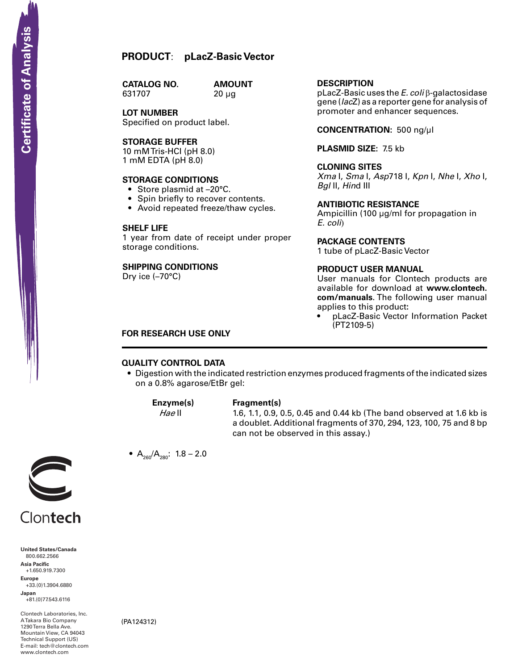# **PRODUCT**: **pLacZ-Basic Vector**

**CATALOG NO.** 631707 20 µg

**AMOUNT** 

**LOT NUMBER** Specified on product label.

# **STorage Buffer**

10 mM Tris-HCI (pH 8.0) 1 mM EDTA (pH 8.0)

#### **STORAGE CONDITIONS**

- Store plasmid at -20°C.
- Spin briefly to recover contents.
- Avoid repeated freeze/thaw cycles.

#### **SHELF LIFE**

1 year from date of receipt under proper storage conditions.

# **SHIPPING CONDITIONS**

Dry ice (–70°C)

# **Description**

pLacZ-Basic uses the *E. coli* β-galactosidase gene (*lac*Z) as a reporter gene for analysis of promoter and enhancer sequences.

**Concentration:** 500 ng/µl

**Plasmid Size:** 7.5 kb

# **Cloning Sites**

*Xma* I, *Sma* I, *Asp*718 I, *Kpn* I, *Nhe* I, *Xho* I, *Bgl* II, *Hin*d III

## **Antibiotic Resistance**

Ampicillin (100 µg/ml for propagation in *E. coli*)

#### **Package contents**

1 tube of pLacZ-Basic Vector

#### **product user manual**

User manuals for Clontech products are available for download at **www.clontech. com/manuals**. The following user manual applies to this product**:**

pLacZ-Basic Vector Information Packet (PT2109-5)

## **FOR RESEARCH USE ONLY**

# **QUALITY CONTROL DATA**

• Digestion with the indicated restriction enzymes produced fragments of the indicated sizes on a 0.8% agarose/EtBr gel:

#### **Enzyme(s) Fragment(s)**

*Hae* II 1.6, 1.1, 0.9, 0.5, 0.45 and 0.44 kb (The band observed at 1.6 kb is a doublet. Additional fragments of 370, 294, 123, 100, 75 and 8 bp can not be observed in this assay.)



Clontech

**United States/Canada** 800.662.2566 **Asia Pacific** +1.650.919.7300 **Europe** +33.(0)1.3904.6880 **Japan** +81.(0)77.543.6116 **SCRIPT CONTREST**<br>
United States/Cana<br>
800.662.2566<br>
Asia Pacific<br>
+1.650.919.7300<br>
Happer<br>
+33.(0)1.3904.688<br>
Japan<br>
-81.(0)77.543.6116<br>
ATakara Bio Compa<br>
Mountain View, CA<br>
Hechnical Support (<br>
Hechnical Support (<br>
Hech

Clontech Laboratories, Inc. A Takara Bio Company 1290 Terra Bella Ave. Mountain View, CA 94043 Technical Support (US) E-mail: tech@clontech.com<br>www.clontech.com

(PA124312)

•  $A_{260}/A_{280}$ : 1.8 – 2.0